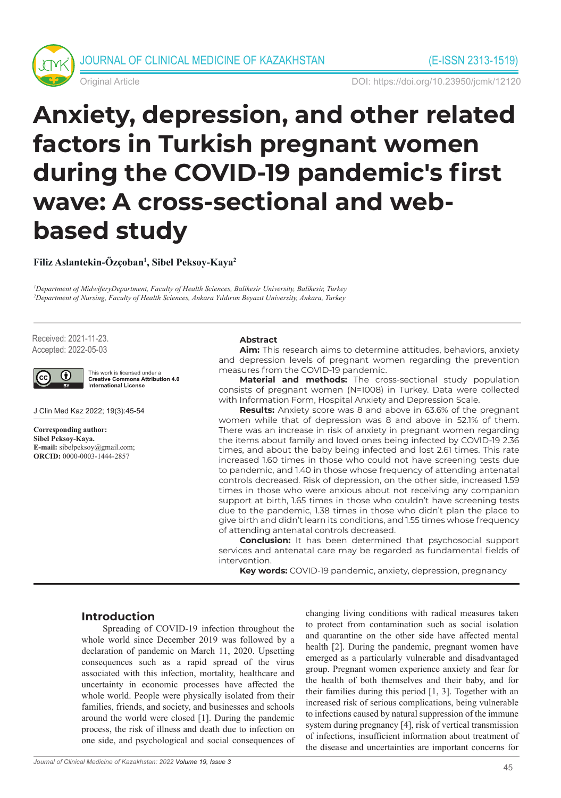



Original Article DOI: https://doi.org/10.23950/jcmk/12120

# **Anxiety, depression, and other related factors in Turkish pregnant women during the COVID-19 pandemic's first wave: A cross-sectional and webbased study**

**Filiz Aslantekin-Özçoban1 , Sibel Peksoy-Kaya2**

*1 Department of MidwiferyDepartment, Faculty of Health Sciences, Balikesir University, Balikesir, Turkey 2 Department of Nursing, Faculty of Health Sciences, Ankara Yıldırım Beyazıt University, Ankara, Turkey*

Received: 2021-11-23. Accepted: 2022-05-03



This work is licensed under a **Creative Commons Attribution 4.0** International License

J Clin Med Kaz 2022; 19(3):45-54

**Corresponding author: Sibel Peksoy-Kaya. E-mail:** sibelpeksoy@gmail.com; **ORCID:** 0000-0003-1444-2857

#### **Abstract**

**Aim:** This research aims to determine attitudes, behaviors, anxiety and depression levels of pregnant women regarding the prevention measures from the COVID-19 pandemic.

**Material and methods:** The cross-sectional study population consists of pregnant women (N=1008) in Turkey. Data were collected with Information Form, Hospital Anxiety and Depression Scale.

**Results:** Anxiety score was 8 and above in 63.6% of the pregnant women while that of depression was 8 and above in 52.1% of them. There was an increase in risk of anxiety in pregnant women regarding the items about family and loved ones being infected by COVID-19 2.36 times, and about the baby being infected and lost 2.61 times. This rate increased 1.60 times in those who could not have screening tests due to pandemic, and 1.40 in those whose frequency of attending antenatal controls decreased. Risk of depression, on the other side, increased 1.59 times in those who were anxious about not receiving any companion support at birth, 1.65 times in those who couldn't have screening tests due to the pandemic, 1.38 times in those who didn't plan the place to give birth and didn't learn its conditions, and 1.55 times whose frequency of attending antenatal controls decreased.

**Conclusion:** It has been determined that psychosocial support services and antenatal care may be regarded as fundamental fields of intervention.

**Key words:** COVID-19 pandemic, anxiety, depression, pregnancy

## **Introduction**

Spreading of COVID-19 infection throughout the whole world since December 2019 was followed by a declaration of pandemic on March 11, 2020. Upsetting consequences such as a rapid spread of the virus associated with this infection, mortality, healthcare and uncertainty in economic processes have affected the whole world. People were physically isolated from their families, friends, and society, and businesses and schools around the world were closed [1]. During the pandemic process, the risk of illness and death due to infection on one side, and psychological and social consequences of changing living conditions with radical measures taken to protect from contamination such as social isolation and quarantine on the other side have affected mental health [2]. During the pandemic, pregnant women have emerged as a particularly vulnerable and disadvantaged group. Pregnant women experience anxiety and fear for the health of both themselves and their baby, and for their families during this period [1, 3]. Together with an increased risk of serious complications, being vulnerable to infections caused by natural suppression of the immune system during pregnancy [4], risk of vertical transmission of infections, insufficient information about treatment of the disease and uncertainties are important concerns for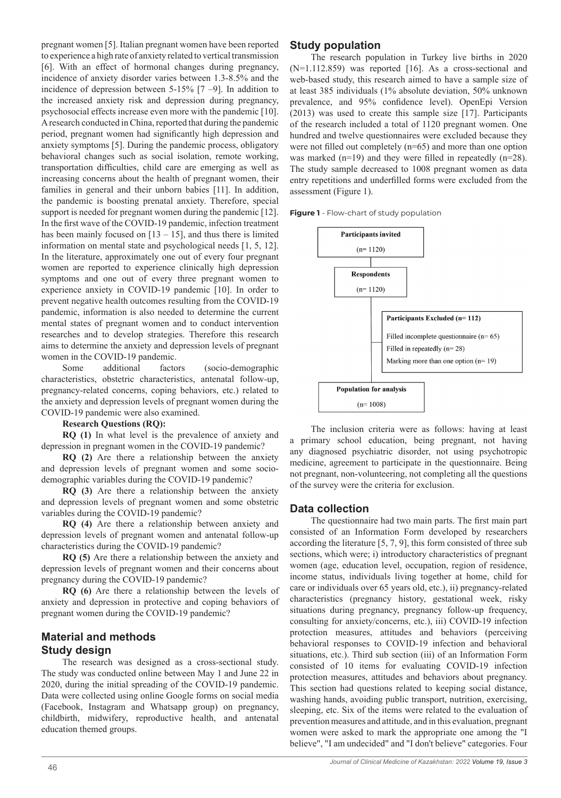pregnant women [5]. Italian pregnant women have been reported to experience a high rate of anxiety related to vertical transmission [6]. With an effect of hormonal changes during pregnancy, incidence of anxiety disorder varies between 1.3-8.5% and the incidence of depression between 5-15% [7 –9]. In addition to the increased anxiety risk and depression during pregnancy, psychosocial effects increase even more with the pandemic [10]. A research conducted in China, reported that during the pandemic period, pregnant women had significantly high depression and anxiety symptoms [5]. During the pandemic process, obligatory behavioral changes such as social isolation, remote working, transportation difficulties, child care are emerging as well as increasing concerns about the health of pregnant women, their families in general and their unborn babies [11]. In addition, the pandemic is boosting prenatal anxiety. Therefore, special support is needed for pregnant women during the pandemic [12]. In the first wave of the COVID-19 pandemic, infection treatment has been mainly focused on  $[13 - 15]$ , and thus there is limited information on mental state and psychological needs [1, 5, 12]. In the literature, approximately one out of every four pregnant women are reported to experience clinically high depression symptoms and one out of every three pregnant women to experience anxiety in COVID-19 pandemic [10]. In order to prevent negative health outcomes resulting from the COVID-19 pandemic, information is also needed to determine the current mental states of pregnant women and to conduct intervention researches and to develop strategies. Therefore this research aims to determine the anxiety and depression levels of pregnant women in the COVID-19 pandemic.

Some additional factors (socio-demographic characteristics, obstetric characteristics, antenatal follow-up, pregnancy-related concerns, coping behaviors, etc.) related to the anxiety and depression levels of pregnant women during the COVID-19 pandemic were also examined.

#### **Research Questions (RQ):**

**RQ (1)** In what level is the prevalence of anxiety and depression in pregnant women in the COVID-19 pandemic?

**RQ (2)** Are there a relationship between the anxiety and depression levels of pregnant women and some sociodemographic variables during the COVID-19 pandemic?

**RQ (3)** Are there a relationship between the anxiety and depression levels of pregnant women and some obstetric variables during the COVID-19 pandemic?

**RQ (4)** Are there a relationship between anxiety and depression levels of pregnant women and antenatal follow-up characteristics during the COVID-19 pandemic?

**RQ (5)** Are there a relationship between the anxiety and depression levels of pregnant women and their concerns about pregnancy during the COVID-19 pandemic?

**RQ (6)** Are there a relationship between the levels of anxiety and depression in protective and coping behaviors of pregnant women during the COVID-19 pandemic?

## **Material and methods Study design**

The research was designed as a cross-sectional study. The study was conducted online between May 1 and June 22 in 2020, during the initial spreading of the COVID-19 pandemic. Data were collected using online Google forms on social media (Facebook, Instagram and Whatsapp group) on pregnancy, childbirth, midwifery, reproductive health, and antenatal education themed groups.

#### **Study population**

The research population in Turkey live births in 2020 (N=1.112.859) was reported [16]. As a cross-sectional and web-based study, this research aimed to have a sample size of at least 385 individuals (1% absolute deviation, 50% unknown prevalence, and 95% confidence level). OpenEpi Version (2013) was used to create this sample size [17]. Participants of the research included a total of 1120 pregnant women. One hundred and twelve questionnaires were excluded because they were not filled out completely (n=65) and more than one option was marked (n=19) and they were filled in repeatedly (n=28). The study sample decreased to 1008 pregnant women as data entry repetitions and underfilled forms were excluded from the assessment (Figure 1).

**Figure 1** - Flow-chart of study population



The inclusion criteria were as follows: having at least a primary school education, being pregnant, not having any diagnosed psychiatric disorder, not using psychotropic medicine, agreement to participate in the questionnaire. Being not pregnant, non-volunteering, not completing all the questions of the survey were the criteria for exclusion.

## **Data collection**

The questionnaire had two main parts. The first main part consisted of an Information Form developed by researchers according the literature [5, 7, 9], this form consisted of three sub sections, which were; i) introductory characteristics of pregnant women (age, education level, occupation, region of residence, income status, individuals living together at home, child for care or individuals over 65 years old, etc.), ii) pregnancy-related characteristics (pregnancy history, gestational week, risky situations during pregnancy, pregnancy follow-up frequency, consulting for anxiety/concerns, etc.), iii) COVID-19 infection protection measures, attitudes and behaviors (perceiving behavioral responses to COVID-19 infection and behavioral situations, etc.). Third sub section (iii) of an Information Form consisted of 10 items for evaluating COVID-19 infection protection measures, attitudes and behaviors about pregnancy. This section had questions related to keeping social distance, washing hands, avoiding public transport, nutrition, exercising, sleeping, etc. Six of the items were related to the evaluation of prevention measures and attitude, and in this evaluation, pregnant women were asked to mark the appropriate one among the "I believe", "I am undecided" and "I don't believe" categories. Four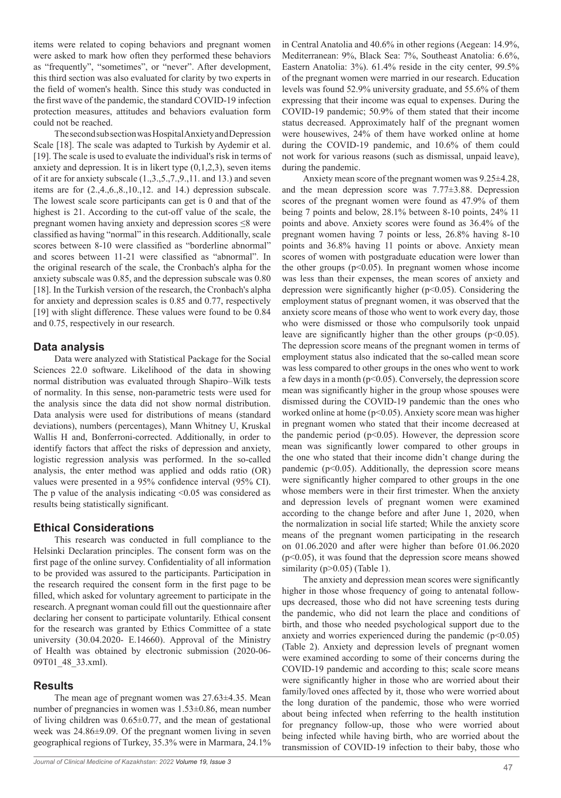items were related to coping behaviors and pregnant women were asked to mark how often they performed these behaviors as "frequently", "sometimes", or "never". After development, this third section was also evaluated for clarity by two experts in the field of women's health. Since this study was conducted in the first wave of the pandemic, the standard COVID-19 infection protection measures, attitudes and behaviors evaluation form could not be reached.

The second sub section was Hospital Anxiety and Depression Scale [18]. The scale was adapted to Turkish by Aydemir et al. [19]. The scale is used to evaluate the individual's risk in terms of anxiety and depression. It is in likert type  $(0,1,2,3)$ , seven items of it are for anxiety subscale (1.,3.,5.,7.,9.,11. and 13.) and seven items are for (2.,4.,6.,8.,10.,12. and 14.) depression subscale. The lowest scale score participants can get is 0 and that of the highest is 21. According to the cut-off value of the scale, the pregnant women having anxiety and depression scores ≤8 were classified as having "normal" in this research. Additionally, scale scores between 8-10 were classified as "borderline abnormal" and scores between 11-21 were classified as "abnormal". In the original research of the scale, the Cronbach's alpha for the anxiety subscale was 0.85, and the depression subscale was 0.80 [18]. In the Turkish version of the research, the Cronbach's alpha for anxiety and depression scales is 0.85 and 0.77, respectively [19] with slight difference. These values were found to be 0.84 and 0.75, respectively in our research.

## **Data analysis**

Data were analyzed with Statistical Package for the Social Sciences 22.0 software. Likelihood of the data in showing normal distribution was evaluated through Shapiro–Wilk tests of normality. In this sense, non-parametric tests were used for the analysis since the data did not show normal distribution. Data analysis were used for distributions of means (standard deviations), numbers (percentages), Mann Whitney U, Kruskal Wallis H and, Bonferroni-corrected. Additionally, in order to identify factors that affect the risks of depression and anxiety, logistic regression analysis was performed. In the so-called analysis, the enter method was applied and odds ratio (OR) values were presented in a 95% confidence interval (95% CI). The p value of the analysis indicating <0.05 was considered as results being statistically significant.

## **Ethical Considerations**

This research was conducted in full compliance to the Helsinki Declaration principles. The consent form was on the first page of the online survey. Confidentiality of all information to be provided was assured to the participants. Participation in the research required the consent form in the first page to be filled, which asked for voluntary agreement to participate in the research. A pregnant woman could fill out the questionnaire after declaring her consent to participate voluntarily. Ethical consent for the research was granted by Ethics Committee of a state university (30.04.2020- E.14660). Approval of the Ministry of Health was obtained by electronic submission (2020-06- 09T01\_48\_33.xml).

## **Results**

The mean age of pregnant women was 27.63±4.35. Mean number of pregnancies in women was 1.53±0.86, mean number of living children was  $0.65\pm0.77$ , and the mean of gestational week was 24.86±9.09. Of the pregnant women living in seven geographical regions of Turkey, 35.3% were in Marmara, 24.1%

in Central Anatolia and 40.6% in other regions (Aegean: 14.9%, Mediterranean: 9%, Black Sea: 7%, Southeast Anatolia: 6.6%, Eastern Anatolia: 3%). 61.4% reside in the city center, 99.5% of the pregnant women were married in our research. Education levels was found 52.9% university graduate, and 55.6% of them expressing that their income was equal to expenses. During the COVID-19 pandemic; 50.9% of them stated that their income status decreased. Approximately half of the pregnant women were housewives, 24% of them have worked online at home during the COVID-19 pandemic, and 10.6% of them could not work for various reasons (such as dismissal, unpaid leave), during the pandemic.

Anxiety mean score of the pregnant women was 9.25±4.28, and the mean depression score was 7.77±3.88. Depression scores of the pregnant women were found as 47.9% of them being 7 points and below, 28.1% between 8-10 points, 24% 11 points and above. Anxiety scores were found as 36.4% of the pregnant women having 7 points or less, 26.8% having 8-10 points and 36.8% having 11 points or above. Anxiety mean scores of women with postgraduate education were lower than the other groups  $(p<0.05)$ . In pregnant women whose income was less than their expenses, the mean scores of anxiety and depression were significantly higher (p<0.05). Considering the employment status of pregnant women, it was observed that the anxiety score means of those who went to work every day, those who were dismissed or those who compulsorily took unpaid leave are significantly higher than the other groups  $(p<0.05)$ . The depression score means of the pregnant women in terms of employment status also indicated that the so-called mean score was less compared to other groups in the ones who went to work a few days in a month (p<0.05). Conversely, the depression score mean was significantly higher in the group whose spouses were dismissed during the COVID-19 pandemic than the ones who worked online at home (p<0.05). Anxiety score mean was higher in pregnant women who stated that their income decreased at the pandemic period  $(p<0.05)$ . However, the depression score mean was significantly lower compared to other groups in the one who stated that their income didn't change during the pandemic ( $p<0.05$ ). Additionally, the depression score means were significantly higher compared to other groups in the one whose members were in their first trimester. When the anxiety and depression levels of pregnant women were examined according to the change before and after June 1, 2020, when the normalization in social life started; While the anxiety score means of the pregnant women participating in the research on 01.06.2020 and after were higher than before 01.06.2020  $(p<0.05)$ , it was found that the depression score means showed similarity ( $p > 0.05$ ) (Table 1).

The anxiety and depression mean scores were significantly higher in those whose frequency of going to antenatal followups decreased, those who did not have screening tests during the pandemic, who did not learn the place and conditions of birth, and those who needed psychological support due to the anxiety and worries experienced during the pandemic  $(p<0.05)$ (Table 2). Anxiety and depression levels of pregnant women were examined according to some of their concerns during the COVID-19 pandemic and according to this; scale score means were significantly higher in those who are worried about their family/loved ones affected by it, those who were worried about the long duration of the pandemic, those who were worried about being infected when referring to the health institution for pregnancy follow-up, those who were worried about being infected while having birth, who are worried about the transmission of COVID-19 infection to their baby, those who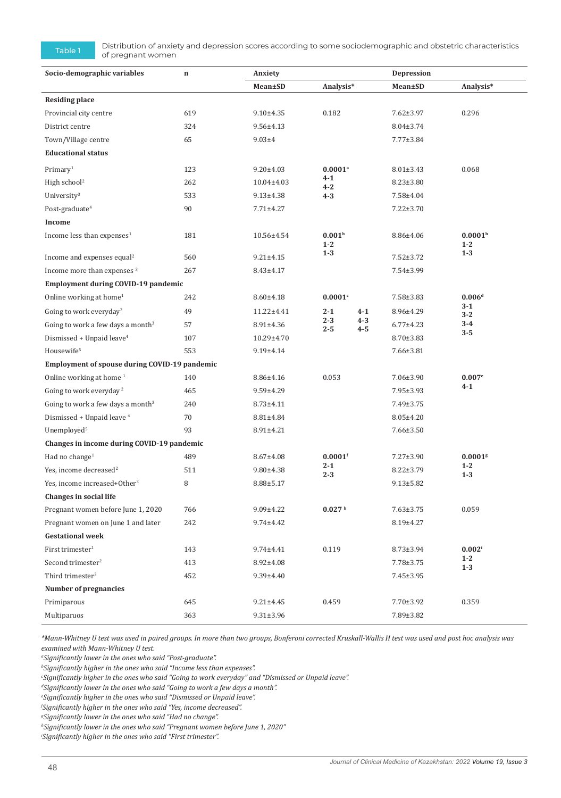Table 1 Distribution of anxiety and depression scores according to some sociodemographic and obstetric characteristics of pregnant women

| Socio-demographic variables                   | Anxiety<br>$\mathbf n$ |                  |                                                    | Depression         |                 |                                |  |  |
|-----------------------------------------------|------------------------|------------------|----------------------------------------------------|--------------------|-----------------|--------------------------------|--|--|
|                                               |                        | Mean±SD          | Analysis*                                          |                    | Mean±SD         | Analysis*                      |  |  |
| <b>Residing place</b>                         |                        |                  |                                                    |                    |                 |                                |  |  |
| Provincial city centre                        | 619                    | $9.10 + 4.35$    | 0.182                                              |                    | $7.62 \pm 3.97$ | 0.296                          |  |  |
| District centre                               | 324                    | $9.56 \pm 4.13$  |                                                    |                    | $8.04 \pm 3.74$ |                                |  |  |
| Town/Village centre                           | 65                     | $9.03 + 4$       |                                                    |                    | $7.77 \pm 3.84$ |                                |  |  |
| <b>Educational status</b>                     |                        |                  |                                                    |                    |                 |                                |  |  |
| Primary <sup>1</sup>                          | 123                    | $9.20 \pm 4.03$  | $0.0001$ <sup>a</sup><br>$4 - 1$<br>4-2<br>$4 - 3$ |                    | $8.01 \pm 3.43$ | 0.068                          |  |  |
| High school <sup>2</sup>                      | 262                    | $10.04 \pm 4.03$ |                                                    |                    | $8.23 \pm 3.80$ |                                |  |  |
| University <sup>3</sup>                       | 533                    | $9.13 \pm 4.38$  |                                                    |                    | 7.58±4.04       |                                |  |  |
| Post-graduate <sup>4</sup>                    | 90                     | $7.71 \pm 4.27$  |                                                    |                    | $7.22 \pm 3.70$ |                                |  |  |
| Income                                        |                        |                  |                                                    |                    |                 |                                |  |  |
| Income less than expenses <sup>1</sup>        | 181                    | 10.56±4.54       | 0.001 <sup>b</sup><br>$1 - 2$                      |                    | 8.86±4.06       | 0.0001 <sup>b</sup><br>$1 - 2$ |  |  |
| Income and expenses equal <sup>2</sup>        | 560                    | $9.21 \pm 4.15$  | $1 - 3$                                            |                    | $7.52 \pm 3.72$ | $1 - 3$                        |  |  |
| Income more than expenses <sup>3</sup>        | 267                    | $8.43 \pm 4.17$  |                                                    |                    | 7.54±3.99       |                                |  |  |
| Employment during COVID-19 pandemic           |                        |                  |                                                    |                    |                 |                                |  |  |
| Online working at home <sup>1</sup>           | 242                    | $8.60 \pm 4.18$  | 0.0001c                                            |                    | 7.58±3.83       | 0.006 <sup>d</sup>             |  |  |
| Going to work everyday <sup>2</sup>           | 49                     | 11.22±4.41       | $2 - 1$                                            | $4 - 1$            | 8.96±4.29       | $3 - 1$<br>$3 - 2$             |  |  |
| Going to work a few days a month <sup>3</sup> | 57                     | $8.91 \pm 4.36$  | $2 - 3$<br>$2 - 5$                                 | $4 - 3$<br>$4 - 5$ | $6.77 \pm 4.23$ | $3 - 4$<br>$3 - 5$             |  |  |
| Dismissed + Unpaid leave <sup>4</sup>         | 107                    | 10.29±4.70       |                                                    |                    | $8.70 \pm 3.83$ |                                |  |  |
| Housewife <sup>5</sup>                        | 553                    | $9.19 + 4.14$    |                                                    |                    | 7.66±3.81       |                                |  |  |
| Employment of spouse during COVID-19 pandemic |                        |                  |                                                    |                    |                 |                                |  |  |
| Online working at home <sup>1</sup>           | 140                    | 8.86±4.16        | 0.053                                              |                    | $7.06 \pm 3.90$ | 0.007e                         |  |  |
| Going to work everyday <sup>2</sup>           | 465                    | $9.59 \pm 4.29$  |                                                    |                    | $7.95 \pm 3.93$ | $4 - 1$                        |  |  |
| Going to work a few days a month <sup>3</sup> | 240                    | $8.73 \pm 4.11$  |                                                    |                    | 7.49±3.75       |                                |  |  |
| Dismissed + Unpaid leave <sup>4</sup>         | 70                     | 8.81±4.84        |                                                    |                    | $8.05 \pm 4.20$ |                                |  |  |
| Unemployed <sup>5</sup>                       | 93                     | 8.91±4.21        |                                                    |                    | $7.66 \pm 3.50$ |                                |  |  |
| Changes in income during COVID-19 pandemic    |                        |                  |                                                    |                    |                 |                                |  |  |
| Had no change <sup>1</sup>                    | 489                    | $8.67 \pm 4.08$  | $0.0001$ f                                         |                    | $7.27 \pm 3.90$ | $0.0001$ <sup>s</sup>          |  |  |
| Yes, income decreased <sup>2</sup>            | 511                    | $9.80 \pm 4.38$  | 2-1<br>$2 - 3$                                     |                    | $8.22 \pm 3.79$ | $1 - 2$<br>$1-3$               |  |  |
| Yes, income increased+Other <sup>3</sup>      | 8                      | $8.88 \pm 5.17$  |                                                    |                    | $9.13 \pm 5.82$ |                                |  |  |
| <b>Changes in social life</b>                 |                        |                  |                                                    |                    |                 |                                |  |  |
| Pregnant women before June 1, 2020            | 766                    | $9.09 \pm 4.22$  | 0.027 <sup> h</sup>                                |                    | $7.63 \pm 3.75$ | 0.059                          |  |  |
| Pregnant women on June 1 and later            | 242                    | $9.74 \pm 4.42$  |                                                    |                    | 8.19±4.27       |                                |  |  |
| <b>Gestational week</b>                       |                        |                  |                                                    |                    |                 |                                |  |  |
| First trimester $1$                           | 143                    | 9.74±4.41        | 0.119                                              |                    | $8.73 \pm 3.94$ | $0.002^{\rm i}$                |  |  |
| Second trimester <sup>2</sup>                 | 413                    | 8.92±4.08        |                                                    |                    | 7.78±3.75       | $1 - 2$<br>$1 - 3$             |  |  |
| Third trimester <sup>3</sup>                  | 452                    | $9.39 \pm 4.40$  |                                                    |                    | $7.45 \pm 3.95$ |                                |  |  |
| Number of pregnancies                         |                        |                  |                                                    |                    |                 |                                |  |  |
| Primiparous                                   | 645                    | $9.21 \pm 4.45$  | 0.459                                              |                    | 7.70±3.92       | 0.359                          |  |  |
| Multiparuos                                   | 363                    | $9.31 \pm 3.96$  |                                                    |                    | 7.89±3.82       |                                |  |  |

*\*Mann-Whitney U test was used in paired groups. In more than two groups, Bonferoni corrected Kruskall-Wallis H test was used and post hoc analysis was examined with Mann-Whitney U test.*

*a Significantly lower in the ones who said "Post-graduate".*

*b Significantly higher in the ones who said "Income less than expenses".*

*c Significantly higher in the ones who said "Going to work everyday" and "Dismissed or Unpaid leave".*

*d Significantly lower in the ones who said "Going to work a few days a month".*

*e Significantly higher in the ones who said "Dismissed or Unpaid leave".*

*f Significantly higher in the ones who said "Yes, income decreased".*

*g Significantly lower in the ones who said "Had no change".* 

*h Significantly lower in the ones who said "Pregnant women before June 1, 2020"*

*i Significantly higher in the ones who said "First trimester".*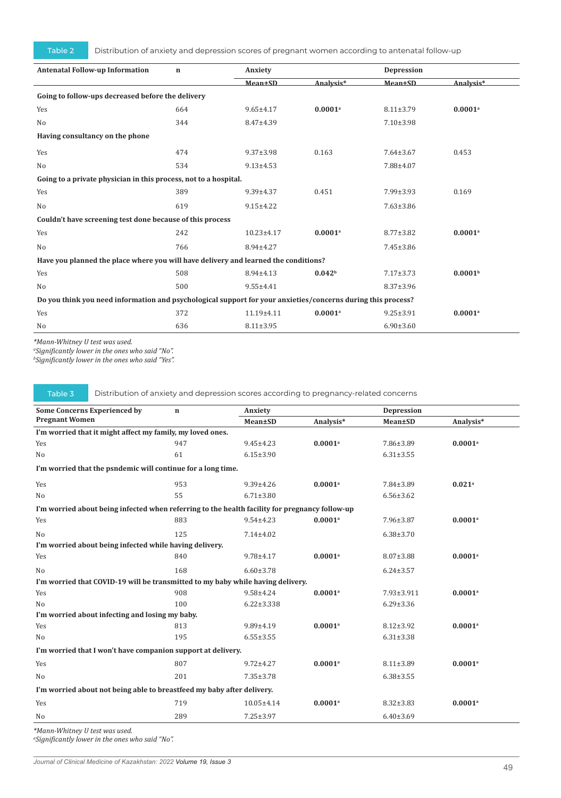Table 2 Distribution of anxiety and depression scores of pregnant women according to antenatal follow-up

| <b>Antenatal Follow-up Information</b>                                                                       | $\mathbf n$ | Anxiety         |                       | Depression      |                       |  |  |
|--------------------------------------------------------------------------------------------------------------|-------------|-----------------|-----------------------|-----------------|-----------------------|--|--|
|                                                                                                              |             | Mean±SD         | Analysis*             | <b>Mean±SD</b>  | Analysis*             |  |  |
| Going to follow-ups decreased before the delivery                                                            |             |                 |                       |                 |                       |  |  |
| Yes                                                                                                          | 664         | $9.65 \pm 4.17$ | $0.0001$ <sup>a</sup> | $8.11 \pm 3.79$ | $0.0001$ <sup>a</sup> |  |  |
| N <sub>o</sub>                                                                                               | 344         | 8.47±4.39       |                       | $7.10 \pm 3.98$ |                       |  |  |
| Having consultancy on the phone                                                                              |             |                 |                       |                 |                       |  |  |
| Yes                                                                                                          | 474         | $9.37 \pm 3.98$ | 0.163                 | $7.64 \pm 3.67$ | 0.453                 |  |  |
| No                                                                                                           | 534         | $9.13 \pm 4.53$ |                       | 7.88±4.07       |                       |  |  |
| Going to a private physician in this process, not to a hospital.                                             |             |                 |                       |                 |                       |  |  |
| Yes                                                                                                          | 389         | 9.39±4.37       | 0.451                 | $7.99 \pm 3.93$ | 0.169                 |  |  |
| N <sub>o</sub>                                                                                               | 619         | $9.15 \pm 4.22$ |                       | $7.63 \pm 3.86$ |                       |  |  |
| Couldn't have screening test done because of this process                                                    |             |                 |                       |                 |                       |  |  |
| Yes                                                                                                          | 242         | $10.23 + 4.17$  | $0.0001$ <sup>a</sup> | $8.77 \pm 3.82$ | $0.0001$ <sup>a</sup> |  |  |
| N <sub>o</sub>                                                                                               | 766         | 8.94±4.27       |                       | 7.45±3.86       |                       |  |  |
| Have you planned the place where you will have delivery and learned the conditions?                          |             |                 |                       |                 |                       |  |  |
| Yes                                                                                                          | 508         | 8.94±4.13       | 0.042 <sup>b</sup>    | $7.17 \pm 3.73$ | 0.0001 <sup>b</sup>   |  |  |
| No                                                                                                           | 500         | $9.55 \pm 4.41$ |                       | $8.37 \pm 3.96$ |                       |  |  |
| Do you think you need information and psychological support for your anxieties/concerns during this process? |             |                 |                       |                 |                       |  |  |
| Yes                                                                                                          | 372         | 11.19±4.11      | $0.0001$ <sup>a</sup> | $9.25 \pm 3.91$ | $0.0001$ <sup>a</sup> |  |  |
| No                                                                                                           | 636         | $8.11 \pm 3.95$ |                       | $6.90 \pm 3.60$ |                       |  |  |

*\*Mann-Whitney U test was used.* 

*a Significantly lower in the ones who said "No".* 

*b Significantly lower in the ones who said "Yes".* 

Table 3 Distribution of anxiety and depression scores according to pregnancy-related concerns

| <b>Some Concerns Experienced by</b>                                                            | $\mathbf n$ | Anxiety          |                       | <b>Depression</b> |                       |  |  |
|------------------------------------------------------------------------------------------------|-------------|------------------|-----------------------|-------------------|-----------------------|--|--|
| <b>Pregnant Women</b>                                                                          |             | Mean±SD          | Analysis*             | Mean±SD           | Analysis*             |  |  |
| I'm worried that it might affect my family, my loved ones.                                     |             |                  |                       |                   |                       |  |  |
| Yes                                                                                            | 947         | $9.45 \pm 4.23$  | $0.0001$ <sup>a</sup> | 7.86±3.89         | $0.0001$ <sup>a</sup> |  |  |
| N <sub>o</sub>                                                                                 | 61          | $6.15 \pm 3.90$  |                       | $6.31 \pm 3.55$   |                       |  |  |
| I'm worried that the psndemic will continue for a long time.                                   |             |                  |                       |                   |                       |  |  |
| Yes                                                                                            | 953         | $9.39 \pm 4.26$  | $0.0001$ <sup>a</sup> | 7.84±3.89         | $0.021$ <sup>a</sup>  |  |  |
| N <sub>o</sub>                                                                                 | 55          | $6.71 \pm 3.80$  |                       | $6.56 \pm 3.62$   |                       |  |  |
| I'm worried about being infected when referring to the health facility for pregnancy follow-up |             |                  |                       |                   |                       |  |  |
| Yes                                                                                            | 883         | $9.54 \pm 4.23$  | $0.0001$ <sup>a</sup> | 7.96±3.87         | $0.0001$ <sup>a</sup> |  |  |
| N <sub>o</sub>                                                                                 | 125         | $7.14 \pm 4.02$  |                       | $6.38 \pm 3.70$   |                       |  |  |
| I'm worried about being infected while having delivery.                                        |             |                  |                       |                   |                       |  |  |
| Yes                                                                                            | 840         | $9.78 + 4.17$    | $0.0001$ <sup>a</sup> | $8.07 \pm 3.88$   | $0.0001$ <sup>a</sup> |  |  |
| N <sub>o</sub>                                                                                 | 168         | $6.60 \pm 3.78$  |                       | $6.24 \pm 3.57$   |                       |  |  |
| I'm worried that COVID-19 will be transmitted to my baby while having delivery.                |             |                  |                       |                   |                       |  |  |
| Yes                                                                                            | 908         | $9.58 + 4.24$    | $0.0001$ <sup>a</sup> | 7.93±3.911        | $0.0001$ <sup>a</sup> |  |  |
| No                                                                                             | 100         | $6.22 \pm 3.338$ |                       | $6.29 \pm 3.36$   |                       |  |  |
| I'm worried about infecting and losing my baby.                                                |             |                  |                       |                   |                       |  |  |
| Yes                                                                                            | 813         | $9.89 \pm 4.19$  | $0.0001$ <sup>a</sup> | $8.12 \pm 3.92$   | $0.0001$ <sup>a</sup> |  |  |
| N <sub>0</sub>                                                                                 | 195         | $6.55 \pm 3.55$  |                       | $6.31 \pm 3.38$   |                       |  |  |
| I'm worried that I won't have companion support at delivery.                                   |             |                  |                       |                   |                       |  |  |
| Yes                                                                                            | 807         | $9.72 \pm 4.27$  | $0.0001$ <sup>a</sup> | $8.11 \pm 3.89$   | $0.0001$ <sup>a</sup> |  |  |
| N <sub>o</sub>                                                                                 | 201         | $7.35 \pm 3.78$  |                       | $6.38 \pm 3.55$   |                       |  |  |
| I'm worried about not being able to breastfeed my baby after delivery.                         |             |                  |                       |                   |                       |  |  |
| Yes                                                                                            | 719         | $10.05 \pm 4.14$ | $0.0001$ <sup>a</sup> | $8.32 \pm 3.83$   | $0.0001$ <sup>a</sup> |  |  |
| No                                                                                             | 289         | $7.25 \pm 3.97$  |                       | $6.40 \pm 3.69$   |                       |  |  |
|                                                                                                |             |                  |                       |                   |                       |  |  |

*\*Mann-Whitney U test was used.* 

*a Significantly lower in the ones who said "No".*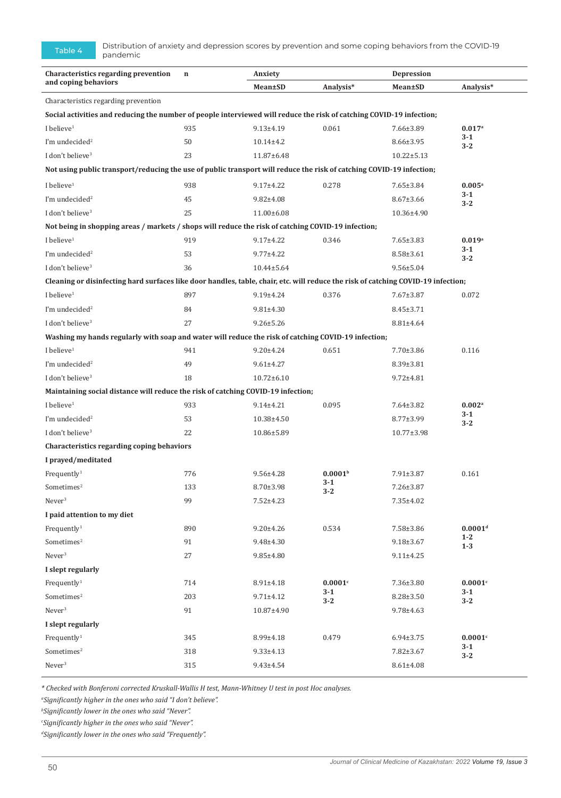Table 4 Distribution of anxiety and depression scores by prevention and some coping behaviors from the COVID-19 pandemic

| Characteristics regarding prevention<br>and coping behaviors                                                                      | $\mathbf n$ | Anxiety          |                     | <b>Depression</b> |                       |  |  |
|-----------------------------------------------------------------------------------------------------------------------------------|-------------|------------------|---------------------|-------------------|-----------------------|--|--|
|                                                                                                                                   |             | Mean±SD          | Analysis*           | Mean±SD           | Analysis*             |  |  |
| Characteristics regarding prevention                                                                                              |             |                  |                     |                   |                       |  |  |
| Social activities and reducing the number of people interviewed will reduce the risk of catching COVID-19 infection;              |             |                  |                     |                   |                       |  |  |
| I believe <sup>1</sup>                                                                                                            | 935         | $9.13 \pm 4.19$  | 0.061               | 7.66±3.89         | $0.017$ <sup>a</sup>  |  |  |
| I'm undecided <sup>2</sup>                                                                                                        | 50          | $10.14 \pm 4.2$  |                     | 8.66±3.95         | 3-1<br>$3-2$          |  |  |
| I don't believe <sup>3</sup>                                                                                                      | 23          | 11.87±6.48       |                     | $10.22 \pm 5.13$  |                       |  |  |
| Not using public transport/reducing the use of public transport will reduce the risk of catching COVID-19 infection;              |             |                  |                     |                   |                       |  |  |
| I believe $1$                                                                                                                     | 938         | $9.17 \pm 4.22$  | 0.278               | $7.65 \pm 3.84$   | $0.005^{\rm a}$       |  |  |
| I'm undecided <sup>2</sup>                                                                                                        | 45          | $9.82 \pm 4.08$  |                     | $8.67 \pm 3.66$   | 3-1                   |  |  |
| I don't believe <sup>3</sup>                                                                                                      | 25          | 11.00±6.08       |                     | 10.36±4.90        | $3 - 2$               |  |  |
| Not being in shopping areas / markets / shops will reduce the risk of catching COVID-19 infection;                                |             |                  |                     |                   |                       |  |  |
| I believe $1$                                                                                                                     | 919         | $9.17 \pm 4.22$  | 0.346               | $7.65 \pm 3.83$   | $0.019$ <sup>a</sup>  |  |  |
| I'm undecided <sup>2</sup>                                                                                                        | 53          | $9.77 + 4.22$    |                     | $8.58 \pm 3.61$   | 3-1                   |  |  |
| I don't believe <sup>3</sup>                                                                                                      | 36          | $10.44 \pm 5.64$ |                     | $9.56 \pm 5.04$   | $3 - 2$               |  |  |
| Cleaning or disinfecting hard surfaces like door handles, table, chair, etc. will reduce the risk of catching COVID-19 infection; |             |                  |                     |                   |                       |  |  |
| I believe <sup>1</sup>                                                                                                            | 897         | $9.19 \pm 4.24$  | 0.376               | $7.67 \pm 3.87$   | 0.072                 |  |  |
| I'm undecided <sup>2</sup>                                                                                                        | 84          | $9.81 \pm 4.30$  |                     | $8.45 \pm 3.71$   |                       |  |  |
| I don't believe <sup>3</sup>                                                                                                      | 27          | $9.26 \pm 5.26$  |                     | 8.81±4.64         |                       |  |  |
| Washing my hands regularly with soap and water will reduce the risk of catching COVID-19 infection;                               |             |                  |                     |                   |                       |  |  |
| I believe <sup>1</sup>                                                                                                            | 941         | $9.20 \pm 4.24$  | 0.651               | $7.70 \pm 3.86$   | 0.116                 |  |  |
| I'm undecided <sup>2</sup>                                                                                                        | 49          | $9.61 \pm 4.27$  |                     | $8.39 \pm 3.81$   |                       |  |  |
| I don't believe <sup>3</sup>                                                                                                      | 18          | $10.72 \pm 6.10$ |                     | $9.72 \pm 4.81$   |                       |  |  |
| Maintaining social distance will reduce the risk of catching COVID-19 infection;                                                  |             |                  |                     |                   |                       |  |  |
| I believe <sup>1</sup>                                                                                                            | 933         | $9.14 \pm 4.21$  | 0.095               | $7.64 \pm 3.82$   | $0.002$ <sup>a</sup>  |  |  |
| I'm undecided <sup>2</sup>                                                                                                        | 53          | 10.38±4.50       |                     | $8.77 \pm 3.99$   | 3-1                   |  |  |
| I don't believe <sup>3</sup>                                                                                                      | 22          | 10.86±5.89       |                     | $10.77 \pm 3.98$  | $3 - 2$               |  |  |
| Characteristics regarding coping behaviors                                                                                        |             |                  |                     |                   |                       |  |  |
| I prayed/meditated                                                                                                                |             |                  |                     |                   |                       |  |  |
| Frequently <sup>1</sup>                                                                                                           | 776         | $9.56 \pm 4.28$  | 0.0001 <sup>b</sup> | $7.91 \pm 3.87$   | 0.161                 |  |  |
| $Sometimes^2$                                                                                                                     | 133         | 8.70±3.98        | $3-1$<br>$3 - 2$    | 7.26±3.87         |                       |  |  |
| Never <sup>3</sup>                                                                                                                | 99          | $7.52 \pm 4.23$  |                     | 7.35±4.02         |                       |  |  |
| I paid attention to my diet                                                                                                       |             |                  |                     |                   |                       |  |  |
| Frequently <sup>1</sup>                                                                                                           | 890         | $9.20 \pm 4.26$  | 0.534               | 7.58±3.86         | 0.0001 <sup>d</sup>   |  |  |
| Sometimes <sup>2</sup>                                                                                                            | 91          | 9.48±4.30        |                     | $9.18 \pm 3.67$   | $1 - 2$<br>$1-3$      |  |  |
| Never <sup>3</sup>                                                                                                                | 27          | $9.85 \pm 4.80$  |                     | $9.11 \pm 4.25$   |                       |  |  |
| I slept regularly                                                                                                                 |             |                  |                     |                   |                       |  |  |
| Frequently <sup>1</sup>                                                                                                           | 714         | $8.91 \pm 4.18$  | 0.0001c             | 7.36±3.80         | $0.0001$ <sup>c</sup> |  |  |
| Sometimes <sup>2</sup>                                                                                                            | 203         | $9.71 \pm 4.12$  | $3 - 1$<br>$3 - 2$  | $8.28 \pm 3.50$   | $3 - 1$<br>$3 - 2$    |  |  |
| Never <sup>3</sup>                                                                                                                | 91          | 10.87±4.90       |                     | $9.78 \pm 4.63$   |                       |  |  |
| I slept regularly                                                                                                                 |             |                  |                     |                   |                       |  |  |
| Frequently <sup>1</sup>                                                                                                           | 345         | 8.99±4.18        | 0.479               | $6.94 \pm 3.75$   | 0.0001c               |  |  |
| Sometimes <sup>2</sup>                                                                                                            | 318         | $9.33 \pm 4.13$  |                     | $7.82 \pm 3.67$   | $3 - 1$<br>$3 - 2$    |  |  |
| Never <sup>3</sup>                                                                                                                | 315         | $9.43 \pm 4.54$  |                     | $8.61 \pm 4.08$   |                       |  |  |
|                                                                                                                                   |             |                  |                     |                   |                       |  |  |

*\* Checked with Bonferoni corrected Kruskall-Wallis H test, Mann-Whitney U test in post Hoc analyses.*

*a Significantly higher in the ones who said "I don't believe".*

*b Significantly lower in the ones who said "Never".* 

*c Significantly higher in the ones who said "Never".*

*d Significantly lower in the ones who said "Frequently".*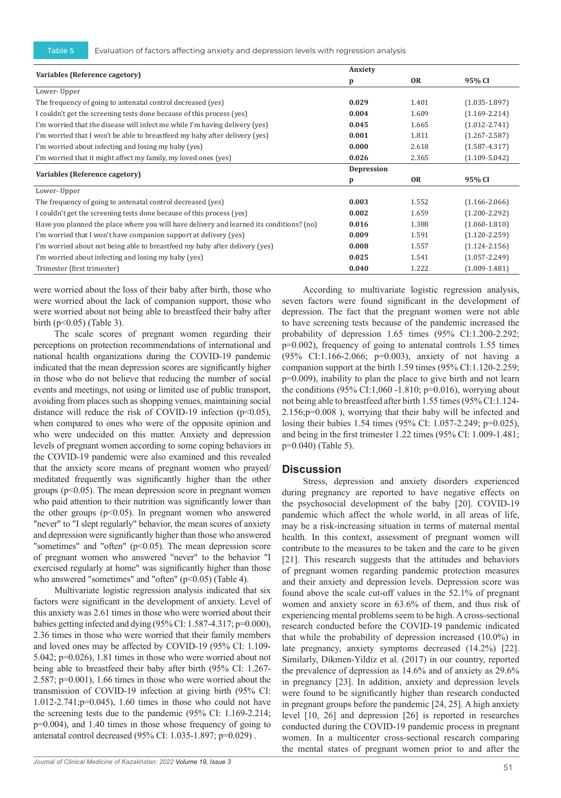|                                                                                          | Anxiety      |           |                   |  |
|------------------------------------------------------------------------------------------|--------------|-----------|-------------------|--|
| Variables (Reference cagetory)                                                           | $\mathbf{p}$ | <b>OR</b> | 95% CI            |  |
| Lower-Upper                                                                              |              |           |                   |  |
| The frequency of going to antenatal control decreased (yes)                              | 0.029        | 1.401     | $(1.035 - 1.897)$ |  |
| I couldn't get the screening tests done because of this process (yes)                    | 0.004        | 1.609     | $(1.169 - 2.214)$ |  |
| I'm worried that the disease will infect me while I'm having delivery (yes)              | 0.045        | 1.665     | $(1.012 - 2.741)$ |  |
| I'm worried that I won't be able to breastfeed my baby after delivery (yes)              | 0.001        | 1.811     | $(1.267 - 2.587)$ |  |
| I'm worried about infecting and losing my baby (yes)                                     | 0.000        | 2.618     | $(1.587 - 4.317)$ |  |
| I'm worried that it might affect my family, my loved ones (yes)                          | 0.026        | 2.365     | $(1.109 - 5.042)$ |  |
| Variables (Reference cagetory)                                                           | Depression   |           |                   |  |
|                                                                                          | p            | <b>OR</b> | 95% CI            |  |
| Lower-Upper                                                                              |              |           |                   |  |
| The frequency of going to antenatal control decreased (yes)                              | 0.003        | 1.552     | $(1.166 - 2.066)$ |  |
| I couldn't get the screening tests done because of this process (yes)                    | 0.002        | 1.659     | $(1.200 - 2.292)$ |  |
| Have you planned the place where you will have delivery and learned its conditions? (no) | 0.016        | 1.388     | $(1.060 - 1.810)$ |  |
| I'm worried that I won't have companion support at delivery (yes)                        | 0.009        | 1.591     | $(1.120 - 2.259)$ |  |
| I'm worried about not being able to breastfeed my baby after delivery (yes)              | 0.008        | 1.557     | $(1.124 - 2.156)$ |  |
| I'm worried about infecting and losing my baby (yes)                                     | 0.025        | 1.541     | $(1.057 - 2.249)$ |  |
| Trimester (first trimester)                                                              | 0.040        | 1.222     | $(1.009 - 1.481)$ |  |

were worried about the loss of their baby after birth, those who were worried about the lack of companion support, those who were worried about not being able to breastfeed their baby after birth (p<0.05) (Table 3).

The scale scores of pregnant women regarding their perceptions on protection recommendations of international and national health organizations during the COVID-19 pandemic indicated that the mean depression scores are significantly higher in those who do not believe that reducing the number of social events and meetings, not using or limited use of public transport, avoiding from places such as shopping venues, maintaining social distance will reduce the risk of COVID-19 infection  $(p<0.05)$ , when compared to ones who were of the opposite opinion and who were undecided on this matter. Anxiety and depression levels of pregnant women according to some coping behaviors in the COVID-19 pandemic were also examined and this revealed that the anxiety score means of pregnant women who prayed/ meditated frequently was significantly higher than the other groups ( $p<0.05$ ). The mean depression score in pregnant women who paid attention to their nutrition was significantly lower than the other groups  $(p<0.05)$ . In pregnant women who answered "never" to "I slept regularly" behavior, the mean scores of anxiety and depression were significantly higher than those who answered "sometimes" and "often" (p<0.05). The mean depression score of pregnant women who answered "never" to the behavior "I exercised regularly at home" was significantly higher than those who answered "sometimes" and "often"  $(p<0.05)$  (Table 4).

Multivariate logistic regression analysis indicated that six factors were significant in the development of anxiety. Level of this anxiety was 2.61 times in those who were worried about their babies getting infected and dying (95% CI: 1.587-4.317; p=0.000), 2.36 times in those who were worried that their family members and loved ones may be affected by COVID-19 (95% CI: 1.109- 5.042; p=0.026), 1.81 times in those who were worried about not being able to breastfeed their baby after birth (95% CI: 1.267- 2.587; p=0.001), 1.66 times in those who were worried about the transmission of COVID-19 infection at giving birth (95% CI: 1.012-2.741;p=0.045), 1.60 times in those who could not have the screening tests due to the pandemic (95% CI: 1.169-2.214; p=0.004), and 1.40 times in those whose frequency of going to antenatal control decreased (95% CI: 1.035-1.897; p=0.029) .

According to multivariate logistic regression analysis, seven factors were found significant in the development of depression. The fact that the pregnant women were not able to have screening tests because of the pandemic increased the probability of depression 1.65 times (95% CI:1.200-2.292; p=0.002), frequency of going to antenatal controls 1.55 times (95% CI:1.166-2.066; p=0.003), anxiety of not having a companion support at the birth 1.59 times (95% CI:1.120-2.259; p=0.009), inability to plan the place to give birth and not learn the conditions  $(95\% \text{ CI} : 1,060 -1.810; \text{ p=0.016})$ , worrying about not being able to breastfeed after birth 1.55 times (95% CI:1.124- 2.156;p=0.008 ), worrying that their baby will be infected and losing their babies 1.54 times (95% CI: 1.057-2.249; p=0.025), and being in the first trimester 1.22 times (95% CI: 1.009-1.481; p=0.040) (Table 5).

#### **Discussion**

Stress, depression and anxiety disorders experienced during pregnancy are reported to have negative effects on the psychosocial development of the baby [20]. COVID-19 pandemic which affect the whole world, in all areas of life, may be a risk-increasing situation in terms of maternal mental health. In this context, assessment of pregnant women will contribute to the measures to be taken and the care to be given [21]. This research suggests that the attitudes and behaviors of pregnant women regarding pandemic protection measures and their anxiety and depression levels. Depression score was found above the scale cut-off values in the 52.1% of pregnant women and anxiety score in 63.6% of them, and thus risk of experiencing mental problems seem to be high. A cross-sectional research conducted before the COVID-19 pandemic indicated that while the probability of depression increased (10.0%) in late pregnancy, anxiety symptoms decreased (14.2%) [22]. Similarly, Dikmen-Yildiz et al. (2017) in our country, reported the prevalence of depression as 14.6% and of anxiety as 29.6% in pregnancy [23]. In addition, anxiety and depression levels were found to be significantly higher than research conducted in pregnant groups before the pandemic [24, 25]. A high anxiety level [10, 26] and depression [26] is reported in researches conducted during the COVID-19 pandemic process in pregnant women. In a multicenter cross-sectional research comparing the mental states of pregnant women prior to and after the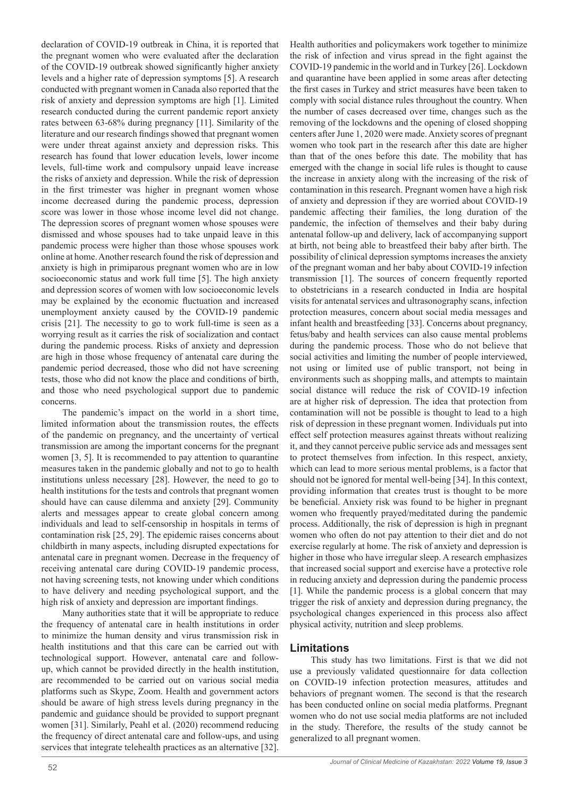declaration of COVID-19 outbreak in China, it is reported that the pregnant women who were evaluated after the declaration of the COVID-19 outbreak showed significantly higher anxiety levels and a higher rate of depression symptoms [5]. A research conducted with pregnant women in Canada also reported that the risk of anxiety and depression symptoms are high [1]. Limited research conducted during the current pandemic report anxiety rates between 63-68% during pregnancy [11]. Similarity of the literature and our research findings showed that pregnant women were under threat against anxiety and depression risks. This research has found that lower education levels, lower income levels, full-time work and compulsory unpaid leave increase the risks of anxiety and depression. While the risk of depression in the first trimester was higher in pregnant women whose income decreased during the pandemic process, depression score was lower in those whose income level did not change. The depression scores of pregnant women whose spouses were dismissed and whose spouses had to take unpaid leave in this pandemic process were higher than those whose spouses work online at home. Another research found the risk of depression and anxiety is high in primiparous pregnant women who are in low socioeconomic status and work full time [5]. The high anxiety and depression scores of women with low socioeconomic levels may be explained by the economic fluctuation and increased unemployment anxiety caused by the COVID-19 pandemic crisis [21]. The necessity to go to work full-time is seen as a worrying result as it carries the risk of socialization and contact during the pandemic process. Risks of anxiety and depression are high in those whose frequency of antenatal care during the pandemic period decreased, those who did not have screening tests, those who did not know the place and conditions of birth, and those who need psychological support due to pandemic concerns.

The pandemic's impact on the world in a short time, limited information about the transmission routes, the effects of the pandemic on pregnancy, and the uncertainty of vertical transmission are among the important concerns for the pregnant women [3, 5]. It is recommended to pay attention to quarantine measures taken in the pandemic globally and not to go to health institutions unless necessary [28]. However, the need to go to health institutions for the tests and controls that pregnant women should have can cause dilemma and anxiety [29]. Community alerts and messages appear to create global concern among individuals and lead to self-censorship in hospitals in terms of contamination risk [25, 29]. The epidemic raises concerns about childbirth in many aspects, including disrupted expectations for antenatal care in pregnant women. Decrease in the frequency of receiving antenatal care during COVID-19 pandemic process, not having screening tests, not knowing under which conditions to have delivery and needing psychological support, and the high risk of anxiety and depression are important findings.

Many authorities state that it will be appropriate to reduce the frequency of antenatal care in health institutions in order to minimize the human density and virus transmission risk in health institutions and that this care can be carried out with technological support. However, antenatal care and followup, which cannot be provided directly in the health institution, are recommended to be carried out on various social media platforms such as Skype, Zoom. Health and government actors should be aware of high stress levels during pregnancy in the pandemic and guidance should be provided to support pregnant women [31]. Similarly, Peahl et al. (2020) recommend reducing the frequency of direct antenatal care and follow-ups, and using services that integrate telehealth practices as an alternative [32].

Health authorities and policymakers work together to minimize the risk of infection and virus spread in the fight against the COVID-19 pandemic in the world and in Turkey [26]. Lockdown and quarantine have been applied in some areas after detecting the first cases in Turkey and strict measures have been taken to comply with social distance rules throughout the country. When the number of cases decreased over time, changes such as the removing of the lockdowns and the opening of closed shopping centers after June 1, 2020 were made. Anxiety scores of pregnant women who took part in the research after this date are higher than that of the ones before this date. The mobility that has emerged with the change in social life rules is thought to cause the increase in anxiety along with the increasing of the risk of contamination in this research. Pregnant women have a high risk of anxiety and depression if they are worried about COVID-19 pandemic affecting their families, the long duration of the pandemic, the infection of themselves and their baby during antenatal follow-up and delivery, lack of accompanying support at birth, not being able to breastfeed their baby after birth. The possibility of clinical depression symptoms increases the anxiety of the pregnant woman and her baby about COVID-19 infection transmission [1]. The sources of concern frequently reported to obstetricians in a research conducted in India are hospital visits for antenatal services and ultrasonography scans, infection protection measures, concern about social media messages and infant health and breastfeeding [33]. Concerns about pregnancy, fetus/baby and health services can also cause mental problems during the pandemic process. Those who do not believe that social activities and limiting the number of people interviewed, not using or limited use of public transport, not being in environments such as shopping malls, and attempts to maintain social distance will reduce the risk of COVID-19 infection are at higher risk of depression. The idea that protection from contamination will not be possible is thought to lead to a high risk of depression in these pregnant women. Individuals put into effect self protection measures against threats without realizing it, and they cannot perceive public service ads and messages sent to protect themselves from infection. In this respect, anxiety, which can lead to more serious mental problems, is a factor that should not be ignored for mental well-being [34]. In this context, providing information that creates trust is thought to be more be beneficial. Anxiety risk was found to be higher in pregnant women who frequently prayed/meditated during the pandemic process. Additionally, the risk of depression is high in pregnant women who often do not pay attention to their diet and do not exercise regularly at home. The risk of anxiety and depression is higher in those who have irregular sleep. A research emphasizes that increased social support and exercise have a protective role in reducing anxiety and depression during the pandemic process [1]. While the pandemic process is a global concern that may trigger the risk of anxiety and depression during pregnancy, the psychological changes experienced in this process also affect physical activity, nutrition and sleep problems.

## **Limitations**

This study has two limitations. First is that we did not use a previously validated questionnaire for data collection on COVID-19 infection protection measures, attitudes and behaviors of pregnant women. The second is that the research has been conducted online on social media platforms. Pregnant women who do not use social media platforms are not included in the study. Therefore, the results of the study cannot be generalized to all pregnant women.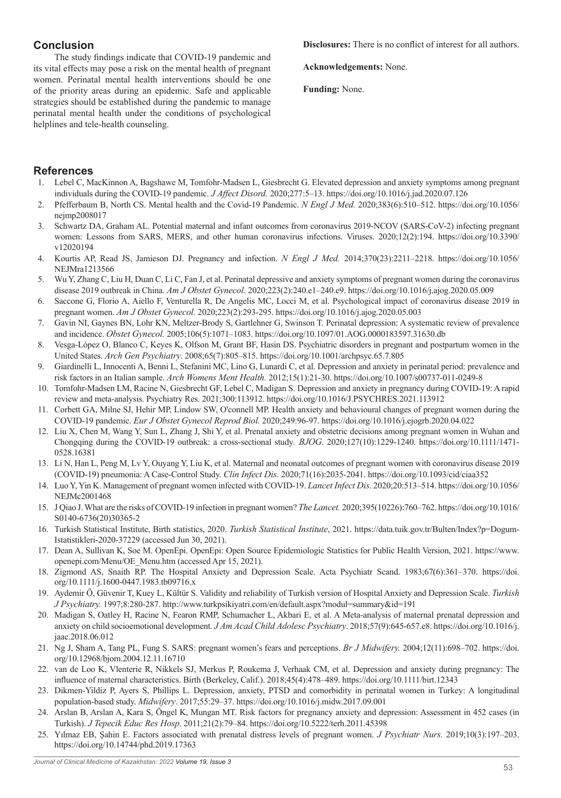## **Conclusion**

The study findings indicate that COVID-19 pandemic and its vital effects may pose a risk on the mental health of pregnant women. Perinatal mental health interventions should be one of the priority areas during an epidemic. Safe and applicable strategies should be established during the pandemic to manage perinatal mental health under the conditions of psychological helplines and tele-health counseling.

#### **Disclosures:** There is no conflict of interest for all authors.

**Acknowledgements:** None.

**Funding:** None.

## **References**

- 1. Lebel C, MacKinnon A, Bagshawe M, Tomfohr-Madsen L, Giesbrecht G. Elevated depression and anxiety symptoms among pregnant individuals during the COVID-19 pandemic. *J Affect Disord.* 2020;277:5–13. https://doi.org/10.1016/j.jad.2020.07.126
- 2. Pfefferbaum B, North CS. Mental health and the Covid-19 Pandemic. *N Engl J Med.* 2020;383(6):510–512. https://doi.org/10.1056/ nejmp2008017
- 3. Schwartz DA, Graham AL. Potential maternal and infant outcomes from coronavirus 2019-NCOV (SARS-CoV-2) infecting pregnant women: Lessons from SARS, MERS, and other human coronavirus infections. Viruses. 2020;12(2):194. https://doi.org/10.3390/ v12020194
- 4. Kourtis AP, Read JS, Jamieson DJ. Pregnancy and infection. *N Engl J Med.* 2014;370(23):2211–2218. https://doi.org/10.1056/ NEJMra1213566
- 5. Wu Y, Zhang C, Liu H, Duan C, Li C, Fan J, et al. Perinatal depressive and anxiety symptoms of pregnant women during the coronavirus disease 2019 outbreak in China. *Am J Obstet Gynecol.* 2020;223(2):240.e1–240.e9. https://doi.org/10.1016/j.ajog.2020.05.009
- 6. Saccone G, Florio A, Aiello F, Venturella R, De Angelis MC, Locci M, et al. Psychological impact of coronavirus disease 2019 in pregnant women. *Am J Obstet Gynecol.* 2020;223(2):293-295. https://doi.org/10.1016/j.ajog.2020.05.003
- 7. Gavin NI, Gaynes BN, Lohr KN, Meltzer-Brody S, Gartlehner G, Swinson T. Perinatal depression: A systematic review of prevalence and incidence. *Obstet Gynecol.* 2005;106(5):1071–1083. https://doi.org/10.1097/01.AOG.0000183597.31630.db
- 8. Vesga-López O, Blanco C, Keyes K, Olfson M, Grant BF, Hasin DS. Psychiatric disorders in pregnant and postpartum women in the United States. *Arch Gen Psychiatry*. 2008;65(7):805–815. https://doi.org/10.1001/archpsyc.65.7.805
- 9. Giardinelli L, Innocenti A, Benni L, Stefanini MC, Lino G, Lunardi C, et al. Depression and anxiety in perinatal period: prevalence and risk factors in an Italian sample. *Arch Womens Ment Health.* 2012;15(1):21-30. https://doi.org/10.1007/s00737-011-0249-8
- 10. Tomfohr-Madsen LM, Racine N, Giesbrecht GF, Lebel C, Madigan S. Depression and anxiety in pregnancy during COVID-19: A rapid review and meta-analysis. Psychiatry Res. 2021;300:113912. https://doi.org/10.1016/J.PSYCHRES.2021.113912
- 11. Corbett GA, Milne SJ, Hehir MP, Lindow SW, O'connell MP. Health anxiety and behavioural changes of pregnant women during the COVID-19 pandemic. *Eur J Obstet Gynecol Reprod Biol.* 2020;249:96-97. https://doi.org/10.1016/j.ejogrb.2020.04.022
- 12. Liu X, Chen M, Wang Y, Sun L, Zhang J, Shi Y, et al. Prenatal anxiety and obstetric decisions among pregnant women in Wuhan and Chongqing during the COVID-19 outbreak: a cross-sectional study*. BJOG*. 2020;127(10):1229-1240. https://doi.org/10.1111/1471- 0528.16381
- 13. Li N, Han L, Peng M, Lv Y, Ouyang Y, Liu K, et al. Maternal and neonatal outcomes of pregnant women with coronavirus disease 2019 (COVID-19) pneumonia: A Case-Control Study. *Clin Infect Dis.* 2020;71(16):2035-2041. https://doi.org/10.1093/cid/ciaa352
- 14. Luo Y, Yin K. Management of pregnant women infected with COVID-19. *Lancet Infect Dis*. 2020;20:513–514. https://doi.org/10.1056/ NEJMc2001468
- 15. J Qiao J. What are the risks of COVID-19 infection in pregnant women? *The Lancet.* 2020;395(10226):760–762. https://doi.org/10.1016/ S0140-6736(20)30365-2
- 16. Turkish Statistical Institute, Birth statistics, 2020. *Turkish Statistical Institute*, 2021. https://data.tuik.gov.tr/Bulten/Index?p=Dogum-Istatistikleri-2020-37229 (accessed Jun 30, 2021).
- 17. Dean A, Sullivan K, Soe M. OpenEpi. OpenEpi: Open Source Epidemiologic Statistics for Public Health Version, 2021. https://www. openepi.com/Menu/OE\_Menu.htm (accessed Apr 15, 2021).
- 18. Zigmond AS, Snaith RP. The Hospital Anxiety and Depression Scale. Acta Psychiatr Scand. 1983;67(6):361–370. https://doi. org/10.1111/j.1600-0447.1983.tb09716.x
- 19. Aydemir Ö, Güvenir T, Kuey L, Kültür S. Validity and reliability of Turkish version of Hospital Anxiety and Depression Scale. *Turkish J Psychiatry.* 1997;8:280-287. http://www.turkpsikiyatri.com/en/default.aspx?modul=summary&id=191
- 20. Madigan S, Oatley H, Racine N, Fearon RMP, Schumacher L, Akbari E, et al. A Meta-analysis of maternal prenatal depression and anxiety on child socioemotional development. *J Am Acad Child Adolesc Psychiatry*. 2018;57(9):645-657.e8. https://doi.org/10.1016/j. jaac.2018.06.012
- 21. Ng J, Sham A, Tang PL, Fung S. SARS: pregnant women's fears and perceptions. *Br J Midwifery.* 2004;12(11):698–702. https://doi. org/10.12968/bjom.2004.12.11.16710
- 22. van de Loo K, Vlenterie R, Nikkels SJ, Merkus P, Roukema J, Verhaak CM, et al. Depression and anxiety during pregnancy: The influence of maternal characteristics. Birth (Berkeley, Calif.). 2018;45(4):478–489. https://doi.org/10.1111/birt.12343
- 23. Dikmen-Yildiz P, Ayers S, Phillips L. Depression, anxiety, PTSD and comorbidity in perinatal women in Turkey: A longitudinal population-based study. *Midwifery*. 2017;55:29–37. https://doi.org/10.1016/j.midw.2017.09.001
- 24. Arslan B, Arslan A, Kara S, Öngel K, Mungan MT. Risk factors for pregnancy anxiety and depression: Assessment in 452 cases (in Turkish). *J Tepecik Educ Res Hosp*. 2011;21(2):79–84. https://doi.org/10.5222/terh.2011.45398
- 25. Yılmaz EB, Şahin E. Factors associated with prenatal distress levels of pregnant women. *J Psychiatr Nurs.* 2019;10(3):197–203. https://doi.org/10.14744/phd.2019.17363